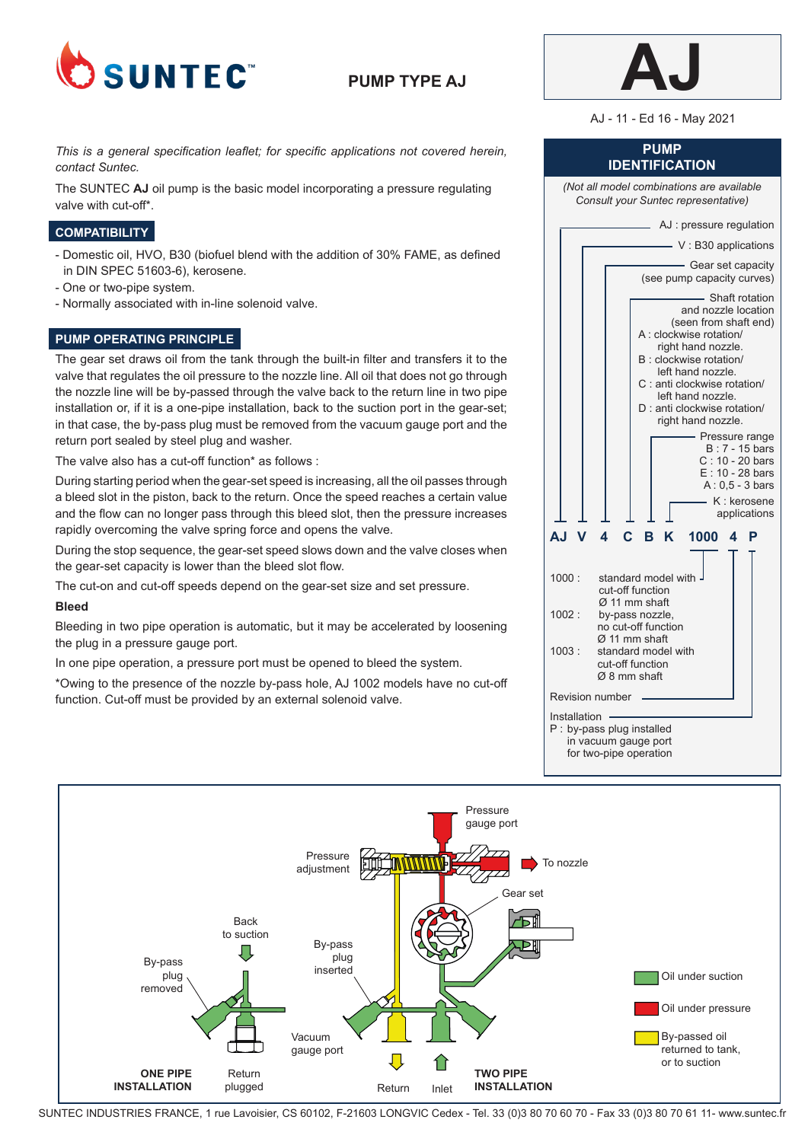

# **PUMP TYPE AJ**



AJ - 11 - Ed 16 - May 2021

**PUMP IDENTIFICATION**

### *This is a general specification leaflet; for specific applications not covered herein, contact Suntec.*

The SUNTEC **AJ** oil pump is the basic model incorporating a pressure regulating valve with cut-off\*.

## **COMPATIBILITY**

- Domestic oil, HVO, B30 (biofuel blend with the addition of 30% FAME, as defined in DIN SPEC 51603-6), kerosene.
- One or two-pipe system.
- Normally associated with in-line solenoid valve.

### **PUMP OPERATING PRINCIPLE**

The gear set draws oil from the tank through the built-in filter and transfers it to the valve that regulates the oil pressure to the nozzle line. All oil that does not go through the nozzle line will be by-passed through the valve back to the return line in two pipe installation or, if it is a one-pipe installation, back to the suction port in the gear-set; in that case, the by-pass plug must be removed from the vacuum gauge port and the return port sealed by steel plug and washer.

The valve also has a cut-off function\* as follows :

During starting period when the gear-set speed is increasing, all the oil passes through a bleed slot in the piston, back to the return. Once the speed reaches a certain value and the flow can no longer pass through this bleed slot, then the pressure increases rapidly overcoming the valve spring force and opens the valve.

During the stop sequence, the gear-set speed slows down and the valve closes when the gear-set capacity is lower than the bleed slot flow.

The cut-on and cut-off speeds depend on the gear-set size and set pressure.

#### **Bleed**

Bleeding in two pipe operation is automatic, but it may be accelerated by loosening the plug in a pressure gauge port.

In one pipe operation, a pressure port must be opened to bleed the system.

\*Owing to the presence of the nozzle by-pass hole, AJ 1002 models have no cut-off function. Cut-off must be provided by an external solenoid valve.





SUNTEC INDUSTRIES FRANCE, 1 rue Lavoisier, CS 60102, F-21603 LONGVIC Cedex - Tel. 33 (0)3 80 70 60 70 - Fax 33 (0)3 80 70 61 11- www.suntec.fr